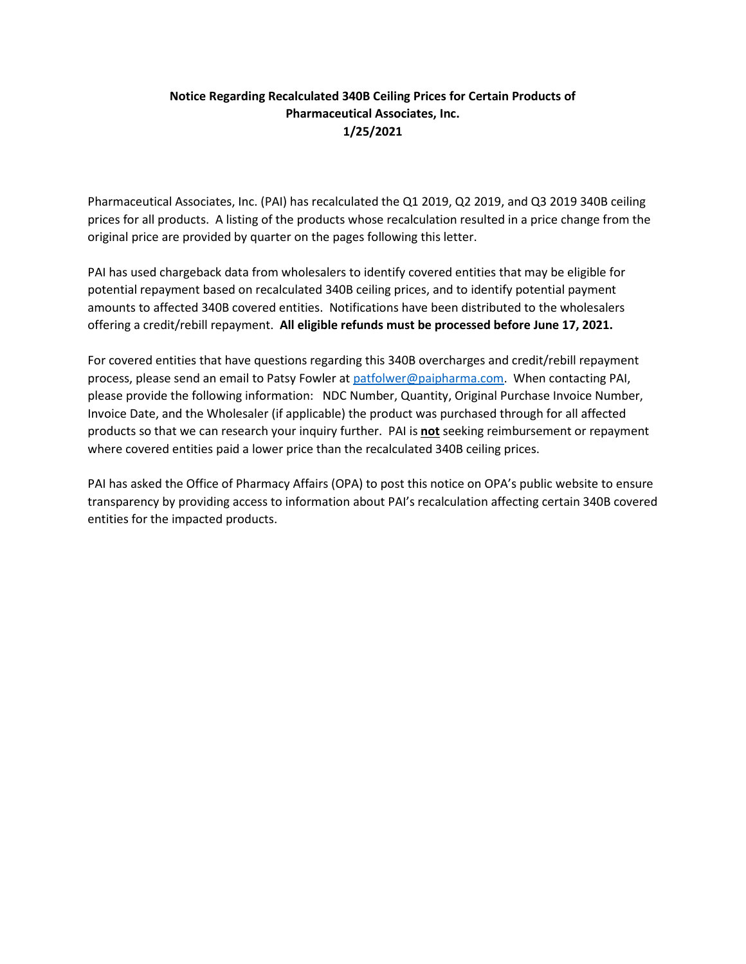## **Notice Regarding Recalculated 340B Ceiling Prices for Certain Products of Pharmaceutical Associates, Inc. 1/25/2021**

Pharmaceutical Associates, Inc. (PAI) has recalculated the Q1 2019, Q2 2019, and Q3 2019 340B ceiling prices for all products. A listing of the products whose recalculation resulted in a price change from the original price are provided by quarter on the pages following this letter.

PAI has used chargeback data from wholesalers to identify covered entities that may be eligible for potential repayment based on recalculated 340B ceiling prices, and to identify potential payment amounts to affected 340B covered entities. Notifications have been distributed to the wholesalers offering a credit/rebill repayment. **All eligible refunds must be processed before June 17, 2021.**

For covered entities that have questions regarding this 340B overcharges and credit/rebill repayment process, please send an email to Patsy Fowler at [patfolwer@paipharma.com.](mailto:patfolwer@paipharma.com) When contacting PAI, please provide the following information: NDC Number, Quantity, Original Purchase Invoice Number, Invoice Date, and the Wholesaler (if applicable) the product was purchased through for all affected products so that we can research your inquiry further. PAI is **not** seeking reimbursement or repayment where covered entities paid a lower price than the recalculated 340B ceiling prices.

PAI has asked the Office of Pharmacy Affairs (OPA) to post this notice on OPA's public website to ensure transparency by providing access to information about PAI's recalculation affecting certain 340B covered entities for the impacted products.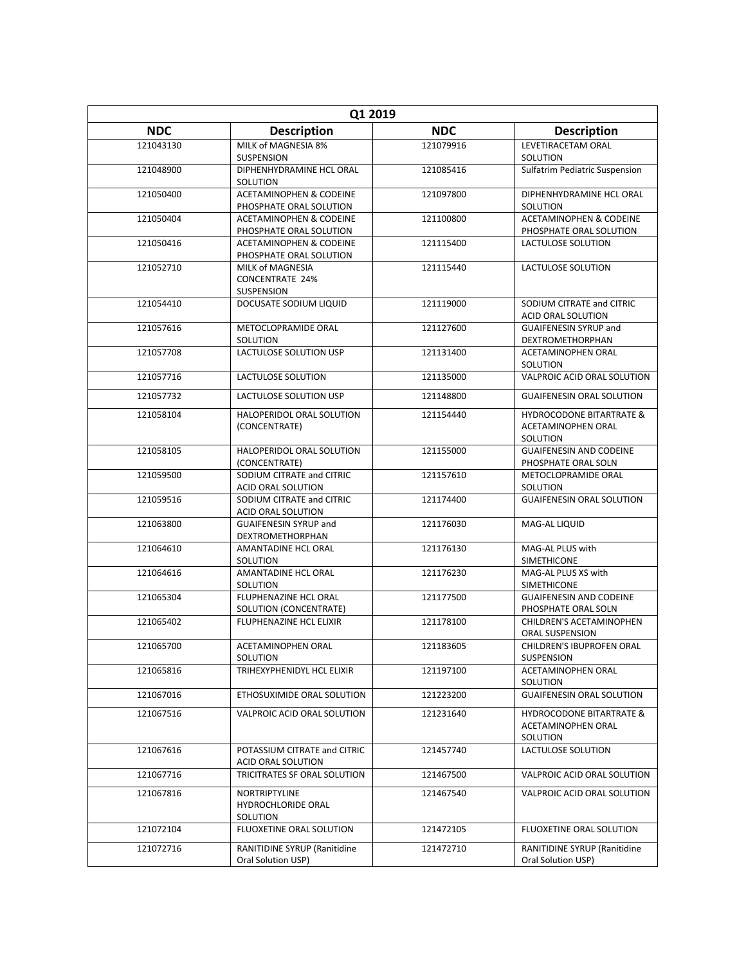| Q1 2019    |                                                               |            |                                                                       |
|------------|---------------------------------------------------------------|------------|-----------------------------------------------------------------------|
| <b>NDC</b> | <b>Description</b>                                            | <b>NDC</b> | <b>Description</b>                                                    |
| 121043130  | MILK of MAGNESIA 8%<br><b>SUSPENSION</b>                      | 121079916  | LEVETIRACETAM ORAL<br>SOLUTION                                        |
| 121048900  | DIPHENHYDRAMINE HCL ORAL<br>SOLUTION                          | 121085416  | <b>Sulfatrim Pediatric Suspension</b>                                 |
| 121050400  | <b>ACETAMINOPHEN &amp; CODEINE</b><br>PHOSPHATE ORAL SOLUTION | 121097800  | DIPHENHYDRAMINE HCL ORAL<br>SOLUTION                                  |
| 121050404  | <b>ACETAMINOPHEN &amp; CODEINE</b><br>PHOSPHATE ORAL SOLUTION | 121100800  | <b>ACETAMINOPHEN &amp; CODEINE</b><br>PHOSPHATE ORAL SOLUTION         |
| 121050416  | <b>ACETAMINOPHEN &amp; CODEINE</b><br>PHOSPHATE ORAL SOLUTION | 121115400  | LACTULOSE SOLUTION                                                    |
| 121052710  | MILK of MAGNESIA<br><b>CONCENTRATE 24%</b><br>SUSPENSION      | 121115440  | LACTULOSE SOLUTION                                                    |
| 121054410  | DOCUSATE SODIUM LIQUID                                        | 121119000  | SODIUM CITRATE and CITRIC<br>ACID ORAL SOLUTION                       |
| 121057616  | METOCLOPRAMIDE ORAL<br>SOLUTION                               | 121127600  | <b>GUAIFENESIN SYRUP and</b><br>DEXTROMETHORPHAN                      |
| 121057708  | LACTULOSE SOLUTION USP                                        | 121131400  | <b>ACETAMINOPHEN ORAL</b><br>SOLUTION                                 |
| 121057716  | LACTULOSE SOLUTION                                            | 121135000  | VALPROIC ACID ORAL SOLUTION                                           |
| 121057732  | LACTULOSE SOLUTION USP                                        | 121148800  | <b>GUAIFENESIN ORAL SOLUTION</b>                                      |
| 121058104  | HALOPERIDOL ORAL SOLUTION<br>(CONCENTRATE)                    | 121154440  | <b>HYDROCODONE BITARTRATE &amp;</b><br>ACETAMINOPHEN ORAL<br>SOLUTION |
| 121058105  | HALOPERIDOL ORAL SOLUTION<br>(CONCENTRATE)                    | 121155000  | <b>GUAIFENESIN AND CODEINE</b><br>PHOSPHATE ORAL SOLN                 |
| 121059500  | SODIUM CITRATE and CITRIC<br>ACID ORAL SOLUTION               | 121157610  | METOCLOPRAMIDE ORAL<br>SOLUTION                                       |
| 121059516  | SODIUM CITRATE and CITRIC<br>ACID ORAL SOLUTION               | 121174400  | <b>GUAIFENESIN ORAL SOLUTION</b>                                      |
| 121063800  | <b>GUAIFENESIN SYRUP and</b><br>DEXTROMETHORPHAN              | 121176030  | MAG-AL LIQUID                                                         |
| 121064610  | AMANTADINE HCL ORAL<br>SOLUTION                               | 121176130  | MAG-AL PLUS with<br><b>SIMETHICONE</b>                                |
| 121064616  | AMANTADINE HCL ORAL<br>SOLUTION                               | 121176230  | MAG-AL PLUS XS with<br><b>SIMETHICONE</b>                             |
| 121065304  | FLUPHENAZINE HCL ORAL<br>SOLUTION (CONCENTRATE)               | 121177500  | <b>GUAIFENESIN AND CODEINE</b><br>PHOSPHATE ORAL SOLN                 |
| 121065402  | <b>FLUPHENAZINE HCL ELIXIR</b>                                | 121178100  | CHILDREN'S ACETAMINOPHEN<br>ORAL SUSPENSION                           |
| 121065700  | ACETAMINOPHEN ORAL<br>SOLUTION                                | 121183605  | CHILDREN'S IBUPROFEN ORAL<br>SUSPENSION                               |
| 121065816  | TRIHEXYPHENIDYL HCL ELIXIR                                    | 121197100  | ACETAMINOPHEN ORAL<br>SOLUTION                                        |
| 121067016  | ETHOSUXIMIDE ORAL SOLUTION                                    | 121223200  | <b>GUAIFENESIN ORAL SOLUTION</b>                                      |
| 121067516  | VALPROIC ACID ORAL SOLUTION                                   | 121231640  | <b>HYDROCODONE BITARTRATE &amp;</b><br>ACETAMINOPHEN ORAL<br>SOLUTION |
| 121067616  | POTASSIUM CITRATE and CITRIC<br>ACID ORAL SOLUTION            | 121457740  | LACTULOSE SOLUTION                                                    |
| 121067716  | TRICITRATES SF ORAL SOLUTION                                  | 121467500  | VALPROIC ACID ORAL SOLUTION                                           |
| 121067816  | NORTRIPTYLINE<br><b>HYDROCHLORIDE ORAL</b><br>SOLUTION        | 121467540  | VALPROIC ACID ORAL SOLUTION                                           |
| 121072104  | FLUOXETINE ORAL SOLUTION                                      | 121472105  | FLUOXETINE ORAL SOLUTION                                              |
| 121072716  | RANITIDINE SYRUP (Ranitidine<br>Oral Solution USP)            | 121472710  | RANITIDINE SYRUP (Ranitidine<br>Oral Solution USP)                    |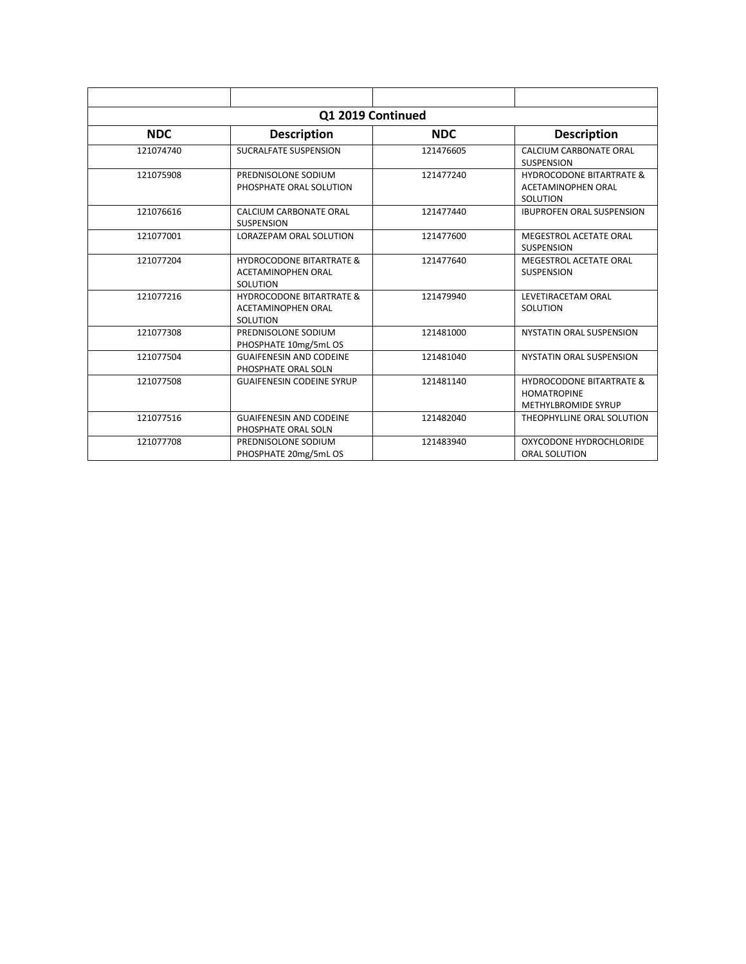| Q1 2019 Continued |                                                                              |            |                                                                                         |
|-------------------|------------------------------------------------------------------------------|------------|-----------------------------------------------------------------------------------------|
| <b>NDC</b>        | <b>Description</b>                                                           | <b>NDC</b> | <b>Description</b>                                                                      |
| 121074740         | <b>SUCRALFATE SUSPENSION</b>                                                 | 121476605  | CALCIUM CARBONATE ORAL<br><b>SUSPENSION</b>                                             |
| 121075908         | PREDNISOLONE SODIUM<br>PHOSPHATE ORAL SOLUTION                               | 121477240  | <b>HYDROCODONE BITARTRATE &amp;</b><br><b>ACETAMINOPHEN ORAL</b><br>SOLUTION            |
| 121076616         | CALCIUM CARBONATE ORAL<br><b>SUSPENSION</b>                                  | 121477440  | <b>IBUPROFEN ORAL SUSPENSION</b>                                                        |
| 121077001         | LORAZEPAM ORAL SOLUTION                                                      | 121477600  | MEGESTROL ACETATE ORAL<br><b>SUSPENSION</b>                                             |
| 121077204         | <b>HYDROCODONE BITARTRATE &amp;</b><br><b>ACETAMINOPHEN ORAL</b><br>SOLUTION | 121477640  | MEGESTROL ACETATE ORAL<br><b>SUSPENSION</b>                                             |
| 121077216         | <b>HYDROCODONE BITARTRATE &amp;</b><br><b>ACETAMINOPHEN ORAL</b><br>SOLUTION | 121479940  | LEVETIRACETAM ORAL<br>SOLUTION                                                          |
| 121077308         | PREDNISOLONE SODIUM<br>PHOSPHATE 10mg/5mL OS                                 | 121481000  | NYSTATIN ORAL SUSPENSION                                                                |
| 121077504         | <b>GUAIFENESIN AND CODEINE</b><br>PHOSPHATE ORAL SOLN                        | 121481040  | NYSTATIN ORAL SUSPENSION                                                                |
| 121077508         | <b>GUAIFENESIN CODEINE SYRUP</b>                                             | 121481140  | <b>HYDROCODONE BITARTRATE &amp;</b><br><b>HOMATROPINE</b><br><b>METHYLBROMIDE SYRUP</b> |
| 121077516         | <b>GUAIFENESIN AND CODEINE</b><br>PHOSPHATE ORAL SOLN                        | 121482040  | THEOPHYLLINE ORAL SOLUTION                                                              |
| 121077708         | PREDNISOLONE SODIUM<br>PHOSPHATE 20mg/5mL OS                                 | 121483940  | OXYCODONE HYDROCHLORIDE<br><b>ORAL SOLUTION</b>                                         |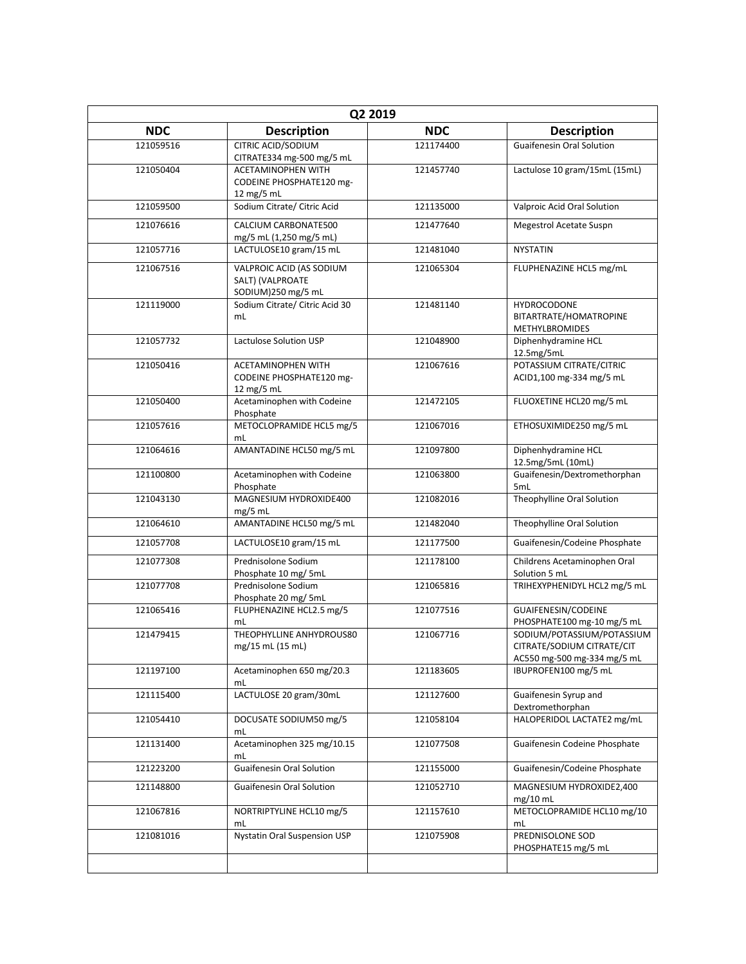| Q2 2019    |                                                                    |            |                                                                                         |  |
|------------|--------------------------------------------------------------------|------------|-----------------------------------------------------------------------------------------|--|
| <b>NDC</b> | <b>Description</b>                                                 | <b>NDC</b> | <b>Description</b>                                                                      |  |
| 121059516  | CITRIC ACID/SODIUM<br>CITRATE334 mg-500 mg/5 mL                    | 121174400  | <b>Guaifenesin Oral Solution</b>                                                        |  |
| 121050404  | ACETAMINOPHEN WITH<br>CODEINE PHOSPHATE120 mg-<br>12 mg/5 mL       | 121457740  | Lactulose 10 gram/15mL (15mL)                                                           |  |
| 121059500  | Sodium Citrate/ Citric Acid                                        | 121135000  | Valproic Acid Oral Solution                                                             |  |
| 121076616  | CALCIUM CARBONATE500<br>mg/5 mL (1,250 mg/5 mL)                    | 121477640  | <b>Megestrol Acetate Suspn</b>                                                          |  |
| 121057716  | LACTULOSE10 gram/15 mL                                             | 121481040  | <b>NYSTATIN</b>                                                                         |  |
| 121067516  | VALPROIC ACID (AS SODIUM<br>SALT) (VALPROATE<br>SODIUM)250 mg/5 mL | 121065304  | FLUPHENAZINE HCL5 mg/mL                                                                 |  |
| 121119000  | Sodium Citrate/ Citric Acid 30<br>mL                               | 121481140  | <b>HYDROCODONE</b><br>BITARTRATE/HOMATROPINE<br><b>METHYLBROMIDES</b>                   |  |
| 121057732  | Lactulose Solution USP                                             | 121048900  | Diphenhydramine HCL<br>12.5mg/5mL                                                       |  |
| 121050416  | ACETAMINOPHEN WITH<br>CODEINE PHOSPHATE120 mg-<br>12 mg/5 mL       | 121067616  | POTASSIUM CITRATE/CITRIC<br>ACID1,100 mg-334 mg/5 mL                                    |  |
| 121050400  | Acetaminophen with Codeine<br>Phosphate                            | 121472105  | FLUOXETINE HCL20 mg/5 mL                                                                |  |
| 121057616  | METOCLOPRAMIDE HCL5 mg/5<br>mL                                     | 121067016  | ETHOSUXIMIDE250 mg/5 mL                                                                 |  |
| 121064616  | AMANTADINE HCL50 mg/5 mL                                           | 121097800  | Diphenhydramine HCL<br>12.5mg/5mL (10mL)                                                |  |
| 121100800  | Acetaminophen with Codeine<br>Phosphate                            | 121063800  | Guaifenesin/Dextromethorphan<br>5mL                                                     |  |
| 121043130  | MAGNESIUM HYDROXIDE400<br>mg/5 mL                                  | 121082016  | Theophylline Oral Solution                                                              |  |
| 121064610  | AMANTADINE HCL50 mg/5 mL                                           | 121482040  | Theophylline Oral Solution                                                              |  |
| 121057708  | LACTULOSE10 gram/15 mL                                             | 121177500  | Guaifenesin/Codeine Phosphate                                                           |  |
| 121077308  | Prednisolone Sodium<br>Phosphate 10 mg/ 5mL                        | 121178100  | Childrens Acetaminophen Oral<br>Solution 5 mL                                           |  |
| 121077708  | Prednisolone Sodium<br>Phosphate 20 mg/ 5mL                        | 121065816  | TRIHEXYPHENIDYL HCL2 mg/5 mL                                                            |  |
| 121065416  | FLUPHENAZINE HCL2.5 mg/5<br>mL                                     | 121077516  | GUAIFENESIN/CODEINE<br>PHOSPHATE100 mg-10 mg/5 mL                                       |  |
| 121479415  | THEOPHYLLINE ANHYDROUS80<br>mg/15 mL (15 mL)                       | 121067716  | SODIUM/POTASSIUM/POTASSIUM<br>CITRATE/SODIUM CITRATE/CIT<br>AC550 mg-500 mg-334 mg/5 mL |  |
| 121197100  | Acetaminophen 650 mg/20.3<br>mL                                    | 121183605  | IBUPROFEN100 mg/5 mL                                                                    |  |
| 121115400  | LACTULOSE 20 gram/30mL                                             | 121127600  | Guaifenesin Syrup and<br>Dextromethorphan                                               |  |
| 121054410  | DOCUSATE SODIUM50 mg/5<br>mL                                       | 121058104  | HALOPERIDOL LACTATE2 mg/mL                                                              |  |
| 121131400  | Acetaminophen 325 mg/10.15<br>mL                                   | 121077508  | Guaifenesin Codeine Phosphate                                                           |  |
| 121223200  | <b>Guaifenesin Oral Solution</b>                                   | 121155000  | Guaifenesin/Codeine Phosphate                                                           |  |
| 121148800  | <b>Guaifenesin Oral Solution</b>                                   | 121052710  | MAGNESIUM HYDROXIDE2,400<br>mg/10 mL                                                    |  |
| 121067816  | NORTRIPTYLINE HCL10 mg/5<br>mL                                     | 121157610  | METOCLOPRAMIDE HCL10 mg/10<br>mL                                                        |  |
| 121081016  | Nystatin Oral Suspension USP                                       | 121075908  | PREDNISOLONE SOD<br>PHOSPHATE15 mg/5 mL                                                 |  |
|            |                                                                    |            |                                                                                         |  |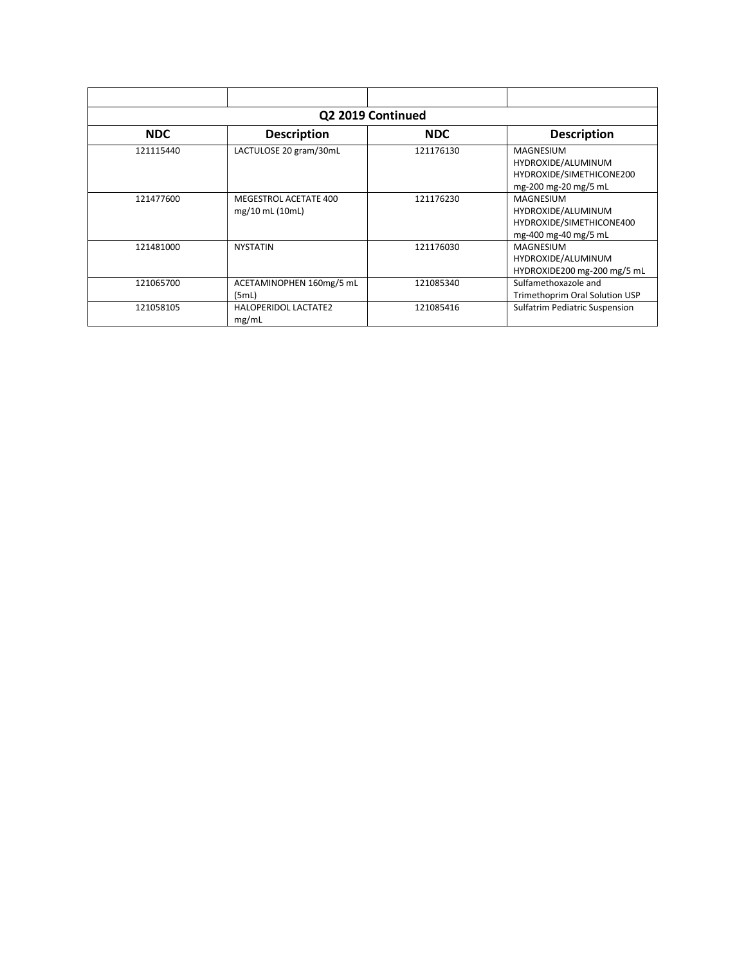| Q2 2019 Continued |                                          |            |                                                                                            |  |
|-------------------|------------------------------------------|------------|--------------------------------------------------------------------------------------------|--|
| <b>NDC</b>        | <b>Description</b>                       | <b>NDC</b> | <b>Description</b>                                                                         |  |
| 121115440         | LACTULOSE 20 gram/30mL                   | 121176130  | <b>MAGNESIUM</b><br>HYDROXIDE/ALUMINUM<br>HYDROXIDE/SIMETHICONE200<br>mg-200 mg-20 mg/5 mL |  |
| 121477600         | MEGESTROL ACETATE 400<br>mg/10 mL (10mL) | 121176230  | <b>MAGNESIUM</b><br>HYDROXIDE/ALUMINUM<br>HYDROXIDE/SIMETHICONE400<br>mg-400 mg-40 mg/5 mL |  |
| 121481000         | <b>NYSTATIN</b>                          | 121176030  | <b>MAGNESIUM</b><br>HYDROXIDE/ALUMINUM<br>HYDROXIDE200 mg-200 mg/5 mL                      |  |
| 121065700         | ACETAMINOPHEN 160mg/5 mL<br>(5mL)        | 121085340  | Sulfamethoxazole and<br>Trimethoprim Oral Solution USP                                     |  |
| 121058105         | <b>HALOPERIDOL LACTATE2</b><br>mg/mL     | 121085416  | <b>Sulfatrim Pediatric Suspension</b>                                                      |  |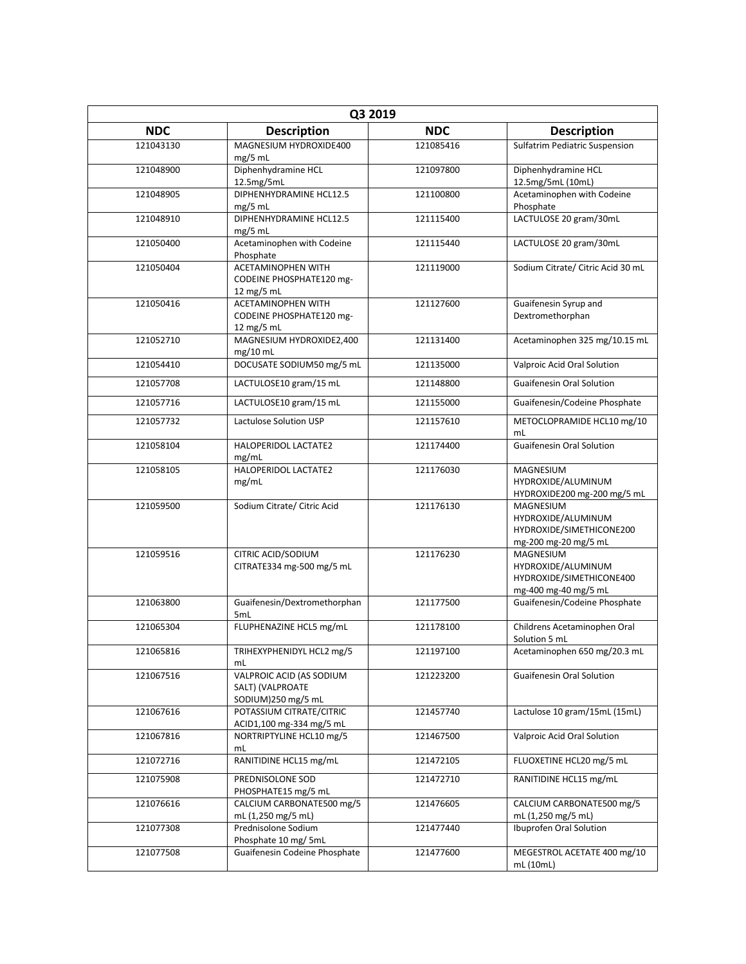| Q3 2019    |                                                                     |            |                                                                                            |
|------------|---------------------------------------------------------------------|------------|--------------------------------------------------------------------------------------------|
| <b>NDC</b> | <b>Description</b>                                                  | <b>NDC</b> | <b>Description</b>                                                                         |
| 121043130  | MAGNESIUM HYDROXIDE400<br>$mg/5$ mL                                 | 121085416  | <b>Sulfatrim Pediatric Suspension</b>                                                      |
| 121048900  | Diphenhydramine HCL<br>12.5mg/5mL                                   | 121097800  | Diphenhydramine HCL<br>12.5mg/5mL (10mL)                                                   |
| 121048905  | DIPHENHYDRAMINE HCL12.5<br>$mg/5$ mL                                | 121100800  | Acetaminophen with Codeine<br>Phosphate                                                    |
| 121048910  | DIPHENHYDRAMINE HCL12.5<br>$mg/5$ mL                                | 121115400  | LACTULOSE 20 gram/30mL                                                                     |
| 121050400  | Acetaminophen with Codeine<br>Phosphate                             | 121115440  | LACTULOSE 20 gram/30mL                                                                     |
| 121050404  | <b>ACETAMINOPHEN WITH</b><br>CODEINE PHOSPHATE120 mg-<br>12 mg/5 mL | 121119000  | Sodium Citrate/ Citric Acid 30 mL                                                          |
| 121050416  | <b>ACETAMINOPHEN WITH</b><br>CODEINE PHOSPHATE120 mg-<br>12 mg/5 mL | 121127600  | Guaifenesin Syrup and<br>Dextromethorphan                                                  |
| 121052710  | MAGNESIUM HYDROXIDE2,400<br>$mg/10$ mL                              | 121131400  | Acetaminophen 325 mg/10.15 mL                                                              |
| 121054410  | DOCUSATE SODIUM50 mg/5 mL                                           | 121135000  | Valproic Acid Oral Solution                                                                |
| 121057708  | LACTULOSE10 gram/15 mL                                              | 121148800  | <b>Guaifenesin Oral Solution</b>                                                           |
| 121057716  | LACTULOSE10 gram/15 mL                                              | 121155000  | Guaifenesin/Codeine Phosphate                                                              |
| 121057732  | Lactulose Solution USP                                              | 121157610  | METOCLOPRAMIDE HCL10 mg/10<br>mL                                                           |
| 121058104  | HALOPERIDOL LACTATE2<br>mg/mL                                       | 121174400  | <b>Guaifenesin Oral Solution</b>                                                           |
| 121058105  | HALOPERIDOL LACTATE2<br>mg/mL                                       | 121176030  | MAGNESIUM<br>HYDROXIDE/ALUMINUM<br>HYDROXIDE200 mg-200 mg/5 mL                             |
| 121059500  | Sodium Citrate/ Citric Acid                                         | 121176130  | MAGNESIUM<br>HYDROXIDE/ALUMINUM<br>HYDROXIDE/SIMETHICONE200<br>mg-200 mg-20 mg/5 mL        |
| 121059516  | CITRIC ACID/SODIUM<br>CITRATE334 mg-500 mg/5 mL                     | 121176230  | <b>MAGNESIUM</b><br>HYDROXIDE/ALUMINUM<br>HYDROXIDE/SIMETHICONE400<br>mg-400 mg-40 mg/5 mL |
| 121063800  | Guaifenesin/Dextromethorphan<br>5mL                                 | 121177500  | Guaifenesin/Codeine Phosphate                                                              |
| 121065304  | FLUPHENAZINE HCL5 mg/mL                                             | 121178100  | Childrens Acetaminophen Oral<br>Solution 5 mL                                              |
| 121065816  | TRIHEXYPHENIDYL HCL2 mg/5<br>mL                                     | 121197100  | Acetaminophen 650 mg/20.3 mL                                                               |
| 121067516  | VALPROIC ACID (AS SODIUM<br>SALT) (VALPROATE<br>SODIUM)250 mg/5 mL  | 121223200  | <b>Guaifenesin Oral Solution</b>                                                           |
| 121067616  | POTASSIUM CITRATE/CITRIC<br>ACID1,100 mg-334 mg/5 mL                | 121457740  | Lactulose 10 gram/15mL (15mL)                                                              |
| 121067816  | NORTRIPTYLINE HCL10 mg/5<br>mL                                      | 121467500  | Valproic Acid Oral Solution                                                                |
| 121072716  | RANITIDINE HCL15 mg/mL                                              | 121472105  | FLUOXETINE HCL20 mg/5 mL                                                                   |
| 121075908  | PREDNISOLONE SOD<br>PHOSPHATE15 mg/5 mL                             | 121472710  | RANITIDINE HCL15 mg/mL                                                                     |
| 121076616  | CALCIUM CARBONATE500 mg/5<br>mL (1,250 mg/5 mL)                     | 121476605  | CALCIUM CARBONATE500 mg/5<br>mL (1,250 mg/5 mL)                                            |
| 121077308  | Prednisolone Sodium<br>Phosphate 10 mg/ 5mL                         | 121477440  | Ibuprofen Oral Solution                                                                    |
| 121077508  | Guaifenesin Codeine Phosphate                                       | 121477600  | MEGESTROL ACETATE 400 mg/10<br>mL (10mL)                                                   |